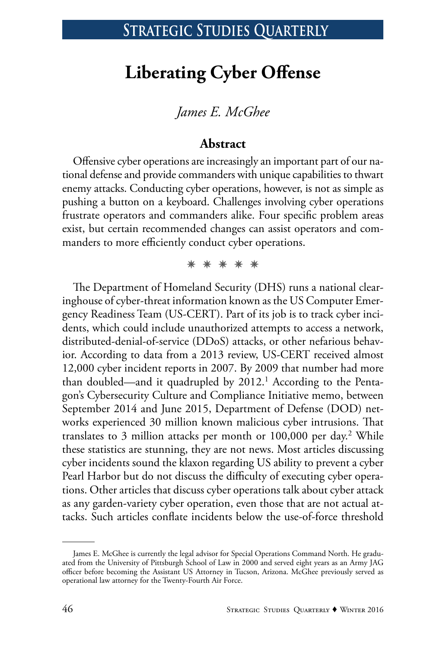# **Liberating Cyber Offense**

### *James E. McGhee*

### **Abstract**

Offensive cyber operations are increasingly an important part of our national defense and provide commanders with unique capabilities to thwart enemy attacks. Conducting cyber operations, however, is not as simple as pushing a button on a keyboard. Challenges involving cyber operations frustrate operators and commanders alike. Four specific problem areas exist, but certain recommended changes can assist operators and commanders to more efficiently conduct cyber operations.

✵ ✵ ✵ ✵ ✵

The Department of Homeland Security (DHS) runs a national clearinghouse of cyber-threat information known as the US Computer Emergency Readiness Team (US-CERT). Part of its job is to track cyber incidents, which could include unauthorized attempts to access a network, distributed-denial-of-service (DDoS) attacks, or other nefarious behavior. According to data from a 2013 review, US-CERT received almost 12,000 cyber incident reports in 2007. By 2009 that number had more than doubled—and it quadrupled by 2012.<sup>1</sup> According to the Pentagon's Cybersecurity Culture and Compliance Initiative memo, between September 2014 and June 2015, Department of Defense (DOD) networks experienced 30 million known malicious cyber intrusions. That translates to 3 million attacks per month or 100,000 per day.<sup>2</sup> While these statistics are stunning, they are not news. Most articles discussing cyber incidents sound the klaxon regarding US ability to prevent a cyber Pearl Harbor but do not discuss the difficulty of executing cyber operations. Other articles that discuss cyber operations talk about cyber attack as any garden-variety cyber operation, even those that are not actual attacks. Such articles conflate incidents below the use-of-force threshold

James E. McGhee is currently the legal advisor for Special Operations Command North. He graduated from the University of Pittsburgh School of Law in 2000 and served eight years as an Army JAG officer before becoming the Assistant US Attorney in Tucson, Arizona. McGhee previously served as operational law attorney for the Twenty-Fourth Air Force.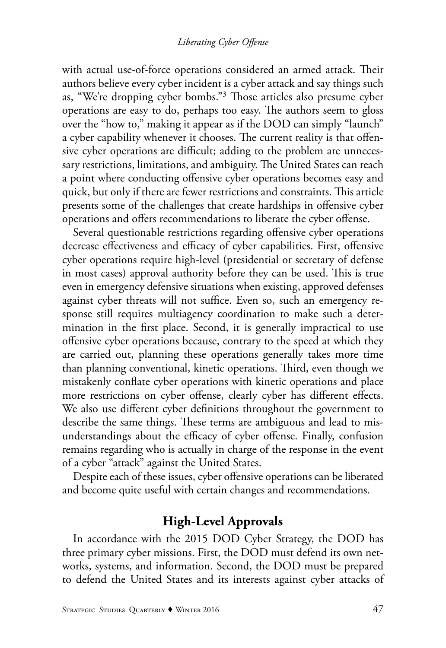with actual use-of-force operations considered an armed attack. Their authors believe every cyber incident is a cyber attack and say things such as, "We're dropping cyber bombs."3 Those articles also presume cyber operations are easy to do, perhaps too easy. The authors seem to gloss over the "how to," making it appear as if the DOD can simply "launch" a cyber capability whenever it chooses. The current reality is that offensive cyber operations are difficult; adding to the problem are unnecessary restrictions, limitations, and ambiguity. The United States can reach a point where conducting offensive cyber operations becomes easy and quick, but only if there are fewer restrictions and constraints. This article presents some of the challenges that create hardships in offensive cyber operations and offers recommendations to liberate the cyber offense.

Several questionable restrictions regarding offensive cyber operations decrease effectiveness and efficacy of cyber capabilities. First, offensive cyber operations require high-level (presidential or secretary of defense in most cases) approval authority before they can be used. This is true even in emergency defensive situations when existing, approved defenses against cyber threats will not suffice. Even so, such an emergency response still requires multiagency coordination to make such a determination in the first place. Second, it is generally impractical to use offensive cyber operations because, contrary to the speed at which they are carried out, planning these operations generally takes more time than planning conventional, kinetic operations. Third, even though we mistakenly conflate cyber operations with kinetic operations and place more restrictions on cyber offense, clearly cyber has different effects. We also use different cyber definitions throughout the government to describe the same things. These terms are ambiguous and lead to misunderstandings about the efficacy of cyber offense. Finally, confusion remains regarding who is actually in charge of the response in the event of a cyber "attack" against the United States.

Despite each of these issues, cyber offensive operations can be liberated and become quite useful with certain changes and recommendations.

## **High-Level Approvals**

In accordance with the 2015 DOD Cyber Strategy, the DOD has three primary cyber missions. First, the DOD must defend its own networks, systems, and information. Second, the DOD must be prepared to defend the United States and its interests against cyber attacks of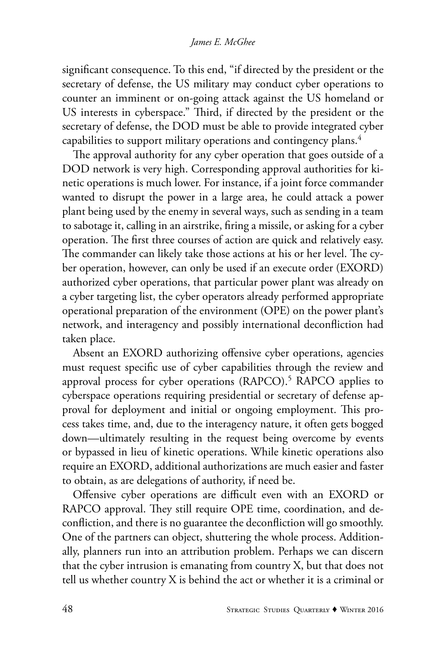#### *James E. McGhee*

significant consequence. To this end, "if directed by the president or the secretary of defense, the US military may conduct cyber operations to counter an imminent or on-going attack against the US homeland or US interests in cyberspace." Third, if directed by the president or the secretary of defense, the DOD must be able to provide integrated cyber capabilities to support military operations and contingency plans.4

The approval authority for any cyber operation that goes outside of a DOD network is very high. Corresponding approval authorities for kinetic operations is much lower. For instance, if a joint force commander wanted to disrupt the power in a large area, he could attack a power plant being used by the enemy in several ways, such as sending in a team to sabotage it, calling in an airstrike, firing a missile, or asking for a cyber operation. The first three courses of action are quick and relatively easy. The commander can likely take those actions at his or her level. The cyber operation, however, can only be used if an execute order (EXORD) authorized cyber operations, that particular power plant was already on a cyber targeting list, the cyber operators already performed appropriate operational preparation of the environment (OPE) on the power plant's network, and interagency and possibly international deconfliction had taken place.

Absent an EXORD authorizing offensive cyber operations, agencies must request specific use of cyber capabilities through the review and approval process for cyber operations (RAPCO).<sup>5</sup> RAPCO applies to cyberspace operations requiring presidential or secretary of defense approval for deployment and initial or ongoing employment. This process takes time, and, due to the interagency nature, it often gets bogged down—ultimately resulting in the request being overcome by events or bypassed in lieu of kinetic operations. While kinetic operations also require an EXORD, additional authorizations are much easier and faster to obtain, as are delegations of authority, if need be.

Offensive cyber operations are difficult even with an EXORD or RAPCO approval. They still require OPE time, coordination, and deconfliction, and there is no guarantee the deconfliction will go smoothly. One of the partners can object, shuttering the whole process. Additionally, planners run into an attribution problem. Perhaps we can discern that the cyber intrusion is emanating from country X, but that does not tell us whether country X is behind the act or whether it is a criminal or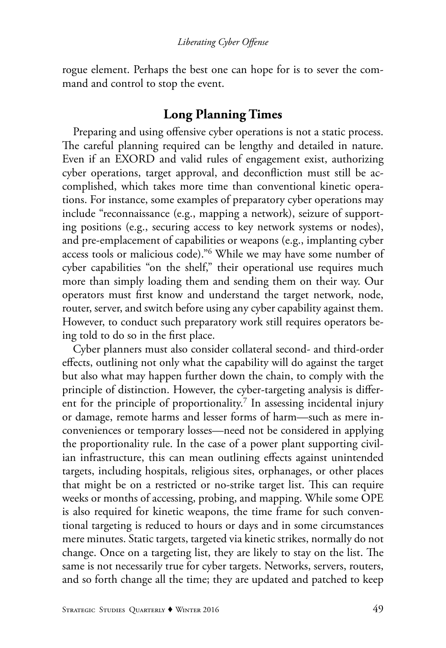rogue element. Perhaps the best one can hope for is to sever the command and control to stop the event.

### **Long Planning Times**

Preparing and using offensive cyber operations is not a static process. The careful planning required can be lengthy and detailed in nature. Even if an EXORD and valid rules of engagement exist, authorizing cyber operations, target approval, and deconfliction must still be accomplished, which takes more time than conventional kinetic operations. For instance, some examples of preparatory cyber operations may include "reconnaissance (e.g., mapping a network), seizure of supporting positions (e.g., securing access to key network systems or nodes), and pre-emplacement of capabilities or weapons (e.g., implanting cyber access tools or malicious code)."6 While we may have some number of cyber capabilities "on the shelf," their operational use requires much more than simply loading them and sending them on their way. Our operators must first know and understand the target network, node, router, server, and switch before using any cyber capability against them. However, to conduct such preparatory work still requires operators being told to do so in the first place.

Cyber planners must also consider collateral second- and third-order effects, outlining not only what the capability will do against the target but also what may happen further down the chain, to comply with the principle of distinction. However, the cyber-targeting analysis is different for the principle of proportionality.<sup>7</sup> In assessing incidental injury or damage, remote harms and lesser forms of harm—such as mere inconveniences or temporary losses—need not be considered in applying the proportionality rule. In the case of a power plant supporting civilian infrastructure, this can mean outlining effects against unintended targets, including hospitals, religious sites, orphanages, or other places that might be on a restricted or no-strike target list. This can require weeks or months of accessing, probing, and mapping. While some OPE is also required for kinetic weapons, the time frame for such conventional targeting is reduced to hours or days and in some circumstances mere minutes. Static targets, targeted via kinetic strikes, normally do not change. Once on a targeting list, they are likely to stay on the list. The same is not necessarily true for cyber targets. Networks, servers, routers, and so forth change all the time; they are updated and patched to keep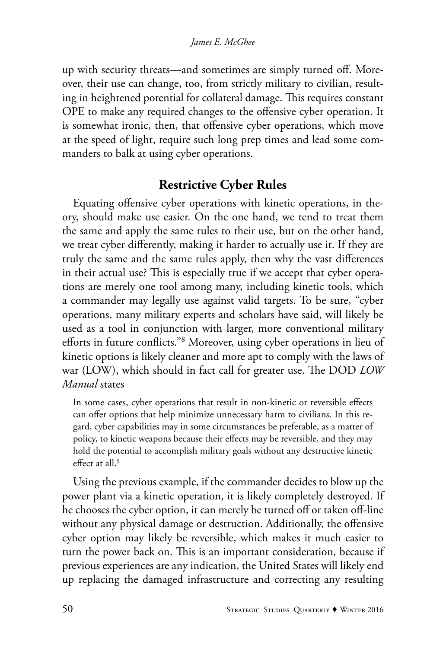up with security threats—and sometimes are simply turned off. Moreover, their use can change, too, from strictly military to civilian, resulting in heightened potential for collateral damage. This requires constant OPE to make any required changes to the offensive cyber operation. It is somewhat ironic, then, that offensive cyber operations, which move at the speed of light, require such long prep times and lead some commanders to balk at using cyber operations.

### **Restrictive Cyber Rules**

Equating offensive cyber operations with kinetic operations, in theory, should make use easier. On the one hand, we tend to treat them the same and apply the same rules to their use, but on the other hand, we treat cyber differently, making it harder to actually use it. If they are truly the same and the same rules apply, then why the vast differences in their actual use? This is especially true if we accept that cyber operations are merely one tool among many, including kinetic tools, which a commander may legally use against valid targets. To be sure, "cyber operations, many military experts and scholars have said, will likely be used as a tool in conjunction with larger, more conventional military efforts in future conflicts."8 Moreover, using cyber operations in lieu of kinetic options is likely cleaner and more apt to comply with the laws of war (LOW), which should in fact call for greater use. The DOD *LOW Manual* states

In some cases, cyber operations that result in non-kinetic or reversible effects can offer options that help minimize unnecessary harm to civilians. In this regard, cyber capabilities may in some circumstances be preferable, as a matter of policy, to kinetic weapons because their effects may be reversible, and they may hold the potential to accomplish military goals without any destructive kinetic effect at all.<sup>9</sup>

Using the previous example, if the commander decides to blow up the power plant via a kinetic operation, it is likely completely destroyed. If he chooses the cyber option, it can merely be turned off or taken off-line without any physical damage or destruction. Additionally, the offensive cyber option may likely be reversible, which makes it much easier to turn the power back on. This is an important consideration, because if previous experiences are any indication, the United States will likely end up replacing the damaged infrastructure and correcting any resulting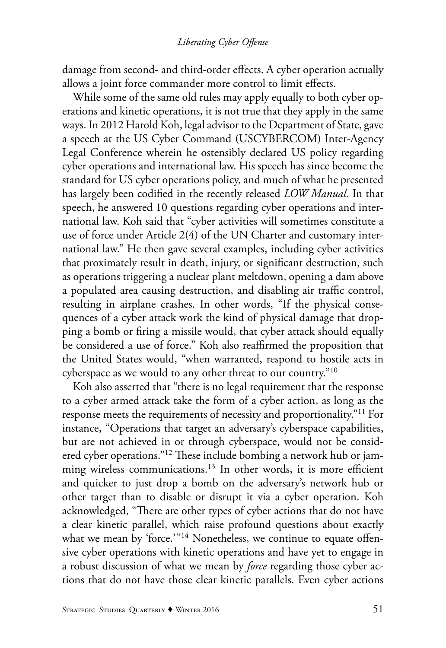damage from second- and third-order effects. A cyber operation actually allows a joint force commander more control to limit effects.

While some of the same old rules may apply equally to both cyber operations and kinetic operations, it is not true that they apply in the same ways. In 2012 Harold Koh, legal advisor to the Department of State, gave a speech at the US Cyber Command (USCYBERCOM) Inter-Agency Legal Conference wherein he ostensibly declared US policy regarding cyber operations and international law. His speech has since become the standard for US cyber operations policy, and much of what he presented has largely been codified in the recently released *LOW Manual*. In that speech, he answered 10 questions regarding cyber operations and international law. Koh said that "cyber activities will sometimes constitute a use of force under Article 2(4) of the UN Charter and customary international law." He then gave several examples, including cyber activities that proximately result in death, injury, or significant destruction, such as operations triggering a nuclear plant meltdown, opening a dam above a populated area causing destruction, and disabling air traffic control, resulting in airplane crashes. In other words, "If the physical consequences of a cyber attack work the kind of physical damage that dropping a bomb or firing a missile would, that cyber attack should equally be considered a use of force." Koh also reaffirmed the proposition that the United States would, "when warranted, respond to hostile acts in cyberspace as we would to any other threat to our country."10

Koh also asserted that "there is no legal requirement that the response to a cyber armed attack take the form of a cyber action, as long as the response meets the requirements of necessity and proportionality."11 For instance, "Operations that target an adversary's cyberspace capabilities, but are not achieved in or through cyberspace, would not be considered cyber operations."12 These include bombing a network hub or jamming wireless communications.<sup>13</sup> In other words, it is more efficient and quicker to just drop a bomb on the adversary's network hub or other target than to disable or disrupt it via a cyber operation. Koh acknowledged, "There are other types of cyber actions that do not have a clear kinetic parallel, which raise profound questions about exactly what we mean by 'force.'"<sup>14</sup> Nonetheless, we continue to equate offensive cyber operations with kinetic operations and have yet to engage in a robust discussion of what we mean by *force* regarding those cyber actions that do not have those clear kinetic parallels. Even cyber actions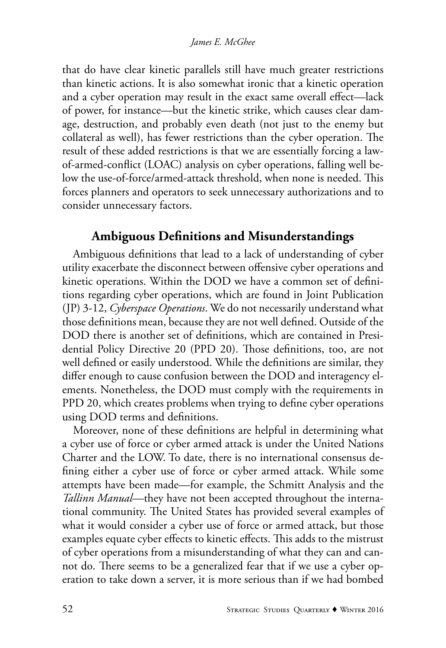that do have clear kinetic parallels still have much greater restrictions than kinetic actions. It is also somewhat ironic that a kinetic operation and a cyber operation may result in the exact same overall effect—lack of power, for instance—but the kinetic strike, which causes clear damage, destruction, and probably even death (not just to the enemy but collateral as well), has fewer restrictions than the cyber operation. The result of these added restrictions is that we are essentially forcing a lawof-armed-conflict (LOAC) analysis on cyber operations, falling well below the use-of-force/armed-attack threshold, when none is needed. This forces planners and operators to seek unnecessary authorizations and to consider unnecessary factors.

## **Ambiguous Definitions and Misunderstandings**

Ambiguous definitions that lead to a lack of understanding of cyber utility exacerbate the disconnect between offensive cyber operations and kinetic operations. Within the DOD we have a common set of definitions regarding cyber operations, which are found in Joint Publication (JP) 3-12, *Cyberspace Operations*. We do not necessarily understand what those definitions mean, because they are not well defined. Outside of the DOD there is another set of definitions, which are contained in Presidential Policy Directive 20 (PPD 20). Those definitions, too, are not well defined or easily understood. While the definitions are similar, they differ enough to cause confusion between the DOD and interagency elements. Nonetheless, the DOD must comply with the requirements in PPD 20, which creates problems when trying to define cyber operations using DOD terms and definitions.

Moreover, none of these definitions are helpful in determining what a cyber use of force or cyber armed attack is under the United Nations Charter and the LOW. To date, there is no international consensus defining either a cyber use of force or cyber armed attack. While some attempts have been made—for example, the Schmitt Analysis and the *Tallinn Manual*—they have not been accepted throughout the international community. The United States has provided several examples of what it would consider a cyber use of force or armed attack, but those examples equate cyber effects to kinetic effects. This adds to the mistrust of cyber operations from a misunderstanding of what they can and cannot do. There seems to be a generalized fear that if we use a cyber operation to take down a server, it is more serious than if we had bombed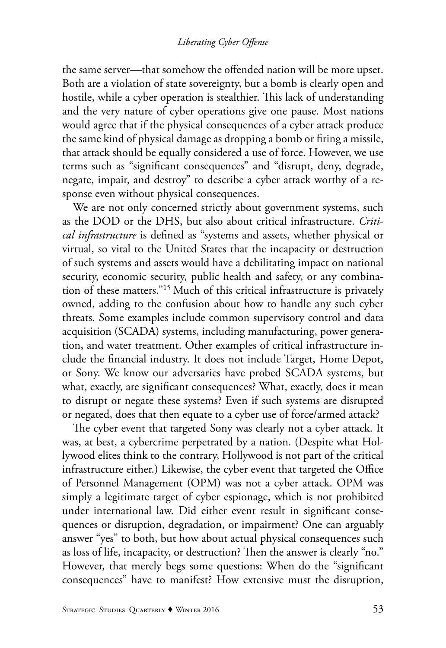the same server—that somehow the offended nation will be more upset. Both are a violation of state sovereignty, but a bomb is clearly open and hostile, while a cyber operation is stealthier. This lack of understanding and the very nature of cyber operations give one pause. Most nations would agree that if the physical consequences of a cyber attack produce the same kind of physical damage as dropping a bomb or firing a missile, that attack should be equally considered a use of force. However, we use terms such as "significant consequences" and "disrupt, deny, degrade, negate, impair, and destroy" to describe a cyber attack worthy of a response even without physical consequences.

We are not only concerned strictly about government systems, such as the DOD or the DHS, but also about critical infrastructure. *Critical infrastructure* is defined as "systems and assets, whether physical or virtual, so vital to the United States that the incapacity or destruction of such systems and assets would have a debilitating impact on national security, economic security, public health and safety, or any combination of these matters."15 Much of this critical infrastructure is privately owned, adding to the confusion about how to handle any such cyber threats. Some examples include common supervisory control and data acquisition (SCADA) systems, including manufacturing, power generation, and water treatment. Other examples of critical infrastructure include the financial industry. It does not include Target, Home Depot, or Sony. We know our adversaries have probed SCADA systems, but what, exactly, are significant consequences? What, exactly, does it mean to disrupt or negate these systems? Even if such systems are disrupted or negated, does that then equate to a cyber use of force/armed attack?

The cyber event that targeted Sony was clearly not a cyber attack. It was, at best, a cybercrime perpetrated by a nation. (Despite what Hollywood elites think to the contrary, Hollywood is not part of the critical infrastructure either.) Likewise, the cyber event that targeted the Office of Personnel Management (OPM) was not a cyber attack. OPM was simply a legitimate target of cyber espionage, which is not prohibited under international law. Did either event result in significant consequences or disruption, degradation, or impairment? One can arguably answer "yes" to both, but how about actual physical consequences such as loss of life, incapacity, or destruction? Then the answer is clearly "no." However, that merely begs some questions: When do the "significant consequences" have to manifest? How extensive must the disruption,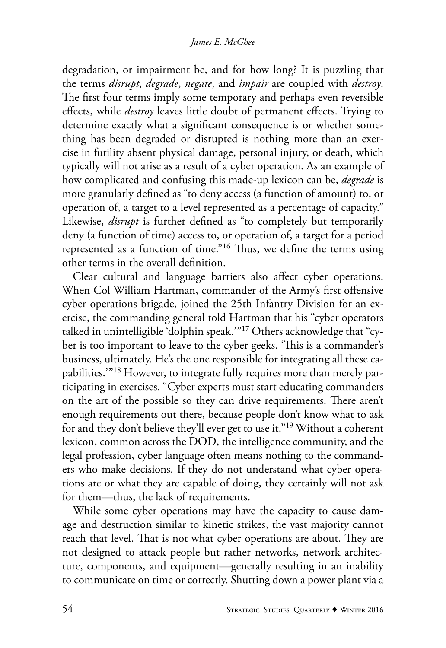degradation, or impairment be, and for how long? It is puzzling that the terms *disrupt*, *degrade*, *negate*, and *impair* are coupled with *destroy*. The first four terms imply some temporary and perhaps even reversible effects, while *destroy* leaves little doubt of permanent effects. Trying to determine exactly what a significant consequence is or whether something has been degraded or disrupted is nothing more than an exercise in futility absent physical damage, personal injury, or death, which typically will not arise as a result of a cyber operation. As an example of how complicated and confusing this made-up lexicon can be, *degrade* is more granularly defined as "to deny access (a function of amount) to, or operation of, a target to a level represented as a percentage of capacity." Likewise, *disrupt* is further defined as "to completely but temporarily deny (a function of time) access to, or operation of, a target for a period represented as a function of time."16 Thus, we define the terms using other terms in the overall definition.

Clear cultural and language barriers also affect cyber operations. When Col William Hartman, commander of the Army's first offensive cyber operations brigade, joined the 25th Infantry Division for an exercise, the commanding general told Hartman that his "cyber operators talked in unintelligible 'dolphin speak.'"17 Others acknowledge that "cyber is too important to leave to the cyber geeks. 'This is a commander's business, ultimately. He's the one responsible for integrating all these capabilities.'"18 However, to integrate fully requires more than merely participating in exercises. "Cyber experts must start educating commanders on the art of the possible so they can drive requirements. There aren't enough requirements out there, because people don't know what to ask for and they don't believe they'll ever get to use it."19 Without a coherent lexicon, common across the DOD, the intelligence community, and the legal profession, cyber language often means nothing to the commanders who make decisions. If they do not understand what cyber operations are or what they are capable of doing, they certainly will not ask for them—thus, the lack of requirements.

While some cyber operations may have the capacity to cause damage and destruction similar to kinetic strikes, the vast majority cannot reach that level. That is not what cyber operations are about. They are not designed to attack people but rather networks, network architecture, components, and equipment—generally resulting in an inability to communicate on time or correctly. Shutting down a power plant via a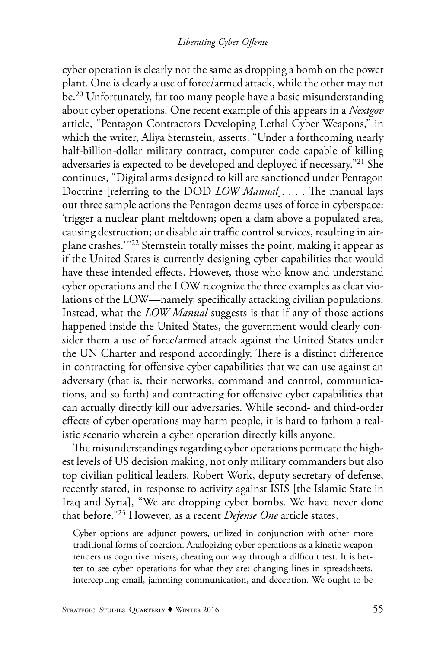cyber operation is clearly not the same as dropping a bomb on the power plant. One is clearly a use of force/armed attack, while the other may not be.20 Unfortunately, far too many people have a basic misunderstanding about cyber operations. One recent example of this appears in a *Nextgov* article, "Pentagon Contractors Developing Lethal Cyber Weapons," in which the writer, Aliya Sternstein, asserts, "Under a forthcoming nearly half-billion-dollar military contract, computer code capable of killing adversaries is expected to be developed and deployed if necessary."21 She continues, "Digital arms designed to kill are sanctioned under Pentagon Doctrine [referring to the DOD *LOW Manual*]. . . . The manual lays out three sample actions the Pentagon deems uses of force in cyberspace: 'trigger a nuclear plant meltdown; open a dam above a populated area, causing destruction; or disable air traffic control services, resulting in airplane crashes.'"22 Sternstein totally misses the point, making it appear as if the United States is currently designing cyber capabilities that would have these intended effects. However, those who know and understand cyber operations and the LOW recognize the three examples as clear violations of the LOW—namely, specifically attacking civilian populations. Instead, what the *LOW Manual* suggests is that if any of those actions happened inside the United States, the government would clearly consider them a use of force/armed attack against the United States under the UN Charter and respond accordingly. There is a distinct difference in contracting for offensive cyber capabilities that we can use against an adversary (that is, their networks, command and control, communications, and so forth) and contracting for offensive cyber capabilities that can actually directly kill our adversaries. While second- and third-order effects of cyber operations may harm people, it is hard to fathom a realistic scenario wherein a cyber operation directly kills anyone.

The misunderstandings regarding cyber operations permeate the highest levels of US decision making, not only military commanders but also top civilian political leaders. Robert Work, deputy secretary of defense, recently stated, in response to activity against ISIS [the Islamic State in Iraq and Syria], "We are dropping cyber bombs. We have never done that before."23 However, as a recent *Defense One* article states,

Cyber options are adjunct powers, utilized in conjunction with other more traditional forms of coercion. Analogizing cyber operations as a kinetic weapon renders us cognitive misers, cheating our way through a difficult test. It is better to see cyber operations for what they are: changing lines in spreadsheets, intercepting email, jamming communication, and deception. We ought to be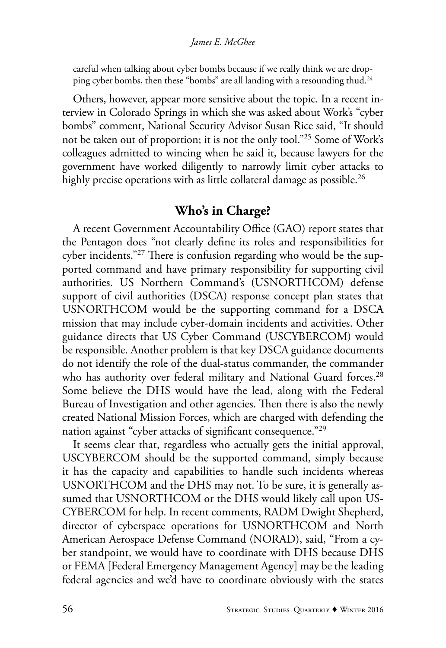#### *James E. McGhee*

careful when talking about cyber bombs because if we really think we are dropping cyber bombs, then these "bombs" are all landing with a resounding thud.<sup>24</sup>

Others, however, appear more sensitive about the topic. In a recent interview in Colorado Springs in which she was asked about Work's "cyber bombs" comment, National Security Advisor Susan Rice said, "It should not be taken out of proportion; it is not the only tool."25 Some of Work's colleagues admitted to wincing when he said it, because lawyers for the government have worked diligently to narrowly limit cyber attacks to highly precise operations with as little collateral damage as possible.<sup>26</sup>

### **Who's in Charge?**

A recent Government Accountability Office (GAO) report states that the Pentagon does "not clearly define its roles and responsibilities for cyber incidents."27 There is confusion regarding who would be the supported command and have primary responsibility for supporting civil authorities. US Northern Command's (USNORTHCOM) defense support of civil authorities (DSCA) response concept plan states that USNORTHCOM would be the supporting command for a DSCA mission that may include cyber-domain incidents and activities. Other guidance directs that US Cyber Command (USCYBERCOM) would be responsible. Another problem is that key DSCA guidance documents do not identify the role of the dual-status commander, the commander who has authority over federal military and National Guard forces.<sup>28</sup> Some believe the DHS would have the lead, along with the Federal Bureau of Investigation and other agencies. Then there is also the newly created National Mission Forces, which are charged with defending the nation against "cyber attacks of significant consequence."<sup>29</sup>

It seems clear that, regardless who actually gets the initial approval, USCYBERCOM should be the supported command, simply because it has the capacity and capabilities to handle such incidents whereas USNORTHCOM and the DHS may not. To be sure, it is generally assumed that USNORTHCOM or the DHS would likely call upon US-CYBERCOM for help. In recent comments, RADM Dwight Shepherd, director of cyberspace operations for USNORTHCOM and North American Aerospace Defense Command (NORAD), said, "From a cyber standpoint, we would have to coordinate with DHS because DHS or FEMA [Federal Emergency Management Agency] may be the leading federal agencies and we'd have to coordinate obviously with the states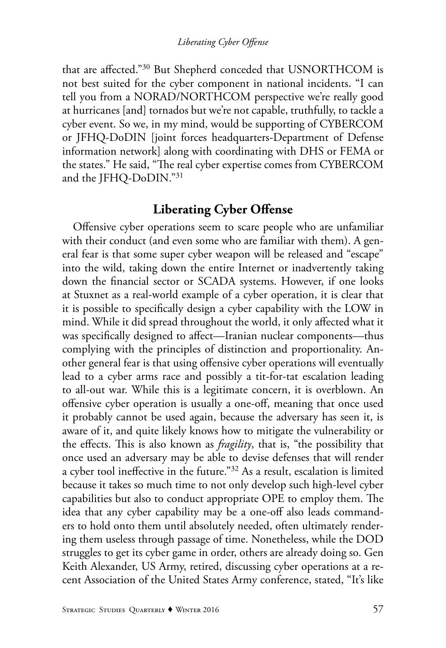that are affected."30 But Shepherd conceded that USNORTHCOM is not best suited for the cyber component in national incidents. "I can tell you from a NORAD/NORTHCOM perspective we're really good at hurricanes [and] tornados but we're not capable, truthfully, to tackle a cyber event. So we, in my mind, would be supporting of CYBERCOM or JFHQ-DoDIN [joint forces headquarters-Department of Defense information network] along with coordinating with DHS or FEMA or the states." He said, "The real cyber expertise comes from CYBERCOM and the JFHQ-DoDIN."31

### **Liberating Cyber Offense**

Offensive cyber operations seem to scare people who are unfamiliar with their conduct (and even some who are familiar with them). A general fear is that some super cyber weapon will be released and "escape" into the wild, taking down the entire Internet or inadvertently taking down the financial sector or SCADA systems. However, if one looks at Stuxnet as a real-world example of a cyber operation, it is clear that it is possible to specifically design a cyber capability with the LOW in mind. While it did spread throughout the world, it only affected what it was specifically designed to affect—Iranian nuclear components—thus complying with the principles of distinction and proportionality. Another general fear is that using offensive cyber operations will eventually lead to a cyber arms race and possibly a tit-for-tat escalation leading to all-out war. While this is a legitimate concern, it is overblown. An offensive cyber operation is usually a one-off, meaning that once used it probably cannot be used again, because the adversary has seen it, is aware of it, and quite likely knows how to mitigate the vulnerability or the effects. This is also known as *fragility*, that is, "the possibility that once used an adversary may be able to devise defenses that will render a cyber tool ineffective in the future."32 As a result, escalation is limited because it takes so much time to not only develop such high-level cyber capabilities but also to conduct appropriate OPE to employ them. The idea that any cyber capability may be a one-off also leads commanders to hold onto them until absolutely needed, often ultimately rendering them useless through passage of time. Nonetheless, while the DOD struggles to get its cyber game in order, others are already doing so. Gen Keith Alexander, US Army, retired, discussing cyber operations at a recent Association of the United States Army conference, stated, "It's like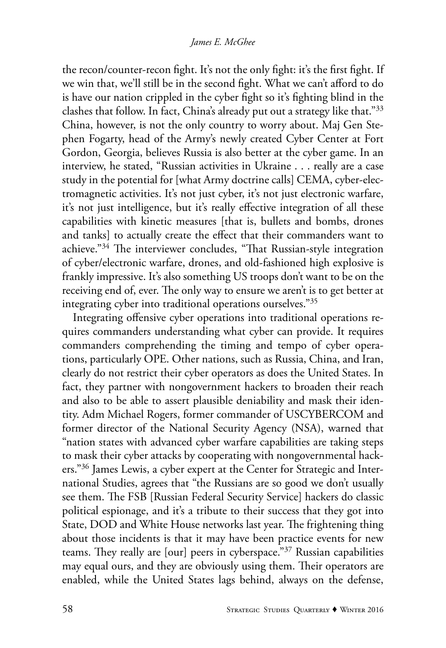the recon/counter-recon fight. It's not the only fight: it's the first fight. If we win that, we'll still be in the second fight. What we can't afford to do is have our nation crippled in the cyber fight so it's fighting blind in the clashes that follow. In fact, China's already put out a strategy like that."33 China, however, is not the only country to worry about. Maj Gen Stephen Fogarty, head of the Army's newly created Cyber Center at Fort Gordon, Georgia, believes Russia is also better at the cyber game. In an interview, he stated, "Russian activities in Ukraine . . . really are a case study in the potential for [what Army doctrine calls] CEMA, cyber-electromagnetic activities. It's not just cyber, it's not just electronic warfare, it's not just intelligence, but it's really effective integration of all these capabilities with kinetic measures [that is, bullets and bombs, drones and tanks] to actually create the effect that their commanders want to achieve."34 The interviewer concludes, "That Russian-style integration of cyber/electronic warfare, drones, and old-fashioned high explosive is frankly impressive. It's also something US troops don't want to be on the receiving end of, ever. The only way to ensure we aren't is to get better at integrating cyber into traditional operations ourselves."35

Integrating offensive cyber operations into traditional operations requires commanders understanding what cyber can provide. It requires commanders comprehending the timing and tempo of cyber operations, particularly OPE. Other nations, such as Russia, China, and Iran, clearly do not restrict their cyber operators as does the United States. In fact, they partner with nongovernment hackers to broaden their reach and also to be able to assert plausible deniability and mask their identity. Adm Michael Rogers, former commander of USCYBERCOM and former director of the National Security Agency (NSA), warned that "nation states with advanced cyber warfare capabilities are taking steps to mask their cyber attacks by cooperating with nongovernmental hackers."<sup>36</sup> James Lewis, a cyber expert at the Center for Strategic and International Studies, agrees that "the Russians are so good we don't usually see them. The FSB [Russian Federal Security Service] hackers do classic political espionage, and it's a tribute to their success that they got into State, DOD and White House networks last year. The frightening thing about those incidents is that it may have been practice events for new teams. They really are [our] peers in cyberspace."37 Russian capabilities may equal ours, and they are obviously using them. Their operators are enabled, while the United States lags behind, always on the defense,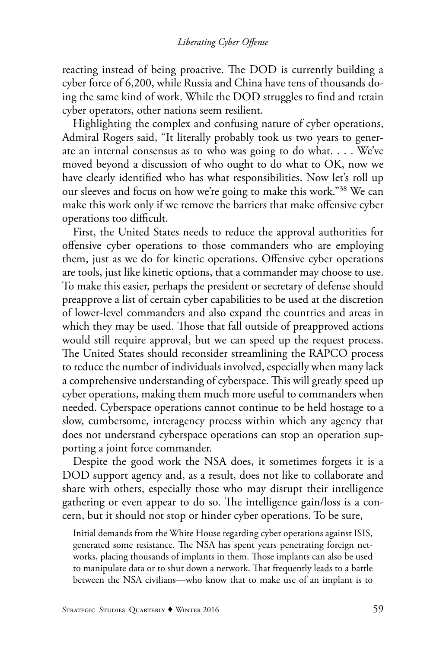reacting instead of being proactive. The DOD is currently building a cyber force of 6,200, while Russia and China have tens of thousands doing the same kind of work. While the DOD struggles to find and retain cyber operators, other nations seem resilient.

Highlighting the complex and confusing nature of cyber operations, Admiral Rogers said, "It literally probably took us two years to generate an internal consensus as to who was going to do what. . . . We've moved beyond a discussion of who ought to do what to OK, now we have clearly identified who has what responsibilities. Now let's roll up our sleeves and focus on how we're going to make this work."38 We can make this work only if we remove the barriers that make offensive cyber operations too difficult.

First, the United States needs to reduce the approval authorities for offensive cyber operations to those commanders who are employing them, just as we do for kinetic operations. Offensive cyber operations are tools, just like kinetic options, that a commander may choose to use. To make this easier, perhaps the president or secretary of defense should preapprove a list of certain cyber capabilities to be used at the discretion of lower-level commanders and also expand the countries and areas in which they may be used. Those that fall outside of preapproved actions would still require approval, but we can speed up the request process. The United States should reconsider streamlining the RAPCO process to reduce the number of individuals involved, especially when many lack a comprehensive understanding of cyberspace. This will greatly speed up cyber operations, making them much more useful to commanders when needed. Cyberspace operations cannot continue to be held hostage to a slow, cumbersome, interagency process within which any agency that does not understand cyberspace operations can stop an operation supporting a joint force commander.

Despite the good work the NSA does, it sometimes forgets it is a DOD support agency and, as a result, does not like to collaborate and share with others, especially those who may disrupt their intelligence gathering or even appear to do so. The intelligence gain/loss is a concern, but it should not stop or hinder cyber operations. To be sure,

Initial demands from the White House regarding cyber operations against ISIS, generated some resistance. The NSA has spent years penetrating foreign networks, placing thousands of implants in them. Those implants can also be used to manipulate data or to shut down a network. That frequently leads to a battle between the NSA civilians—who know that to make use of an implant is to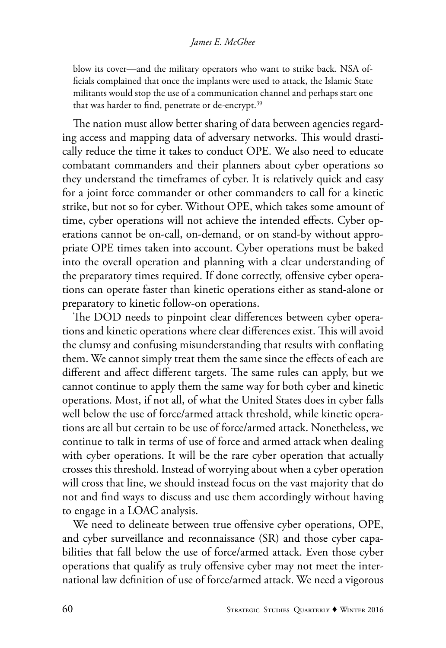#### *James E. McGhee*

blow its cover—and the military operators who want to strike back. NSA officials complained that once the implants were used to attack, the Islamic State militants would stop the use of a communication channel and perhaps start one that was harder to find, penetrate or de-encrypt.<sup>39</sup>

The nation must allow better sharing of data between agencies regarding access and mapping data of adversary networks. This would drastically reduce the time it takes to conduct OPE. We also need to educate combatant commanders and their planners about cyber operations so they understand the timeframes of cyber. It is relatively quick and easy for a joint force commander or other commanders to call for a kinetic strike, but not so for cyber. Without OPE, which takes some amount of time, cyber operations will not achieve the intended effects. Cyber operations cannot be on-call, on-demand, or on stand-by without appropriate OPE times taken into account. Cyber operations must be baked into the overall operation and planning with a clear understanding of the preparatory times required. If done correctly, offensive cyber operations can operate faster than kinetic operations either as stand-alone or preparatory to kinetic follow-on operations.

The DOD needs to pinpoint clear differences between cyber operations and kinetic operations where clear differences exist. This will avoid the clumsy and confusing misunderstanding that results with conflating them. We cannot simply treat them the same since the effects of each are different and affect different targets. The same rules can apply, but we cannot continue to apply them the same way for both cyber and kinetic operations. Most, if not all, of what the United States does in cyber falls well below the use of force/armed attack threshold, while kinetic operations are all but certain to be use of force/armed attack. Nonetheless, we continue to talk in terms of use of force and armed attack when dealing with cyber operations. It will be the rare cyber operation that actually crosses this threshold. Instead of worrying about when a cyber operation will cross that line, we should instead focus on the vast majority that do not and find ways to discuss and use them accordingly without having to engage in a LOAC analysis.

We need to delineate between true offensive cyber operations, OPE, and cyber surveillance and reconnaissance (SR) and those cyber capabilities that fall below the use of force/armed attack. Even those cyber operations that qualify as truly offensive cyber may not meet the international law definition of use of force/armed attack. We need a vigorous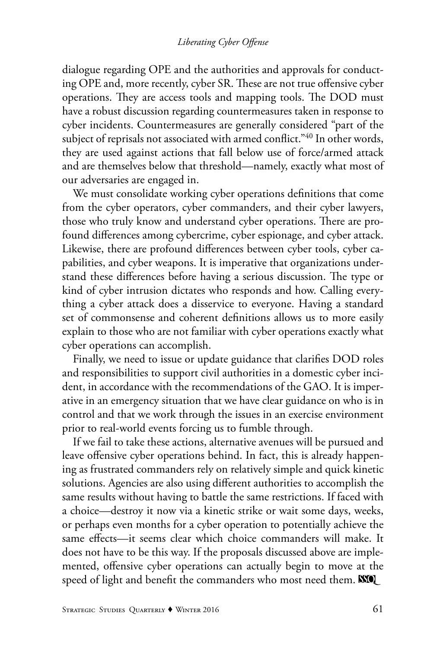#### *Liberating Cyber Offense*

dialogue regarding OPE and the authorities and approvals for conducting OPE and, more recently, cyber SR. These are not true offensive cyber operations. They are access tools and mapping tools. The DOD must have a robust discussion regarding countermeasures taken in response to cyber incidents. Countermeasures are generally considered "part of the subject of reprisals not associated with armed conflict."40 In other words, they are used against actions that fall below use of force/armed attack and are themselves below that threshold—namely, exactly what most of our adversaries are engaged in.

We must consolidate working cyber operations definitions that come from the cyber operators, cyber commanders, and their cyber lawyers, those who truly know and understand cyber operations. There are profound differences among cybercrime, cyber espionage, and cyber attack. Likewise, there are profound differences between cyber tools, cyber capabilities, and cyber weapons. It is imperative that organizations understand these differences before having a serious discussion. The type or kind of cyber intrusion dictates who responds and how. Calling everything a cyber attack does a disservice to everyone. Having a standard set of commonsense and coherent definitions allows us to more easily explain to those who are not familiar with cyber operations exactly what cyber operations can accomplish.

Finally, we need to issue or update guidance that clarifies DOD roles and responsibilities to support civil authorities in a domestic cyber incident, in accordance with the recommendations of the GAO. It is imperative in an emergency situation that we have clear guidance on who is in control and that we work through the issues in an exercise environment prior to real-world events forcing us to fumble through.

If we fail to take these actions, alternative avenues will be pursued and leave offensive cyber operations behind. In fact, this is already happening as frustrated commanders rely on relatively simple and quick kinetic solutions. Agencies are also using different authorities to accomplish the same results without having to battle the same restrictions. If faced with a choice—destroy it now via a kinetic strike or wait some days, weeks, or perhaps even months for a cyber operation to potentially achieve the same effects—it seems clear which choice commanders will make. It does not have to be this way. If the proposals discussed above are implemented, offensive cyber operations can actually begin to move at the speed of light and benefit the commanders who most need them. WO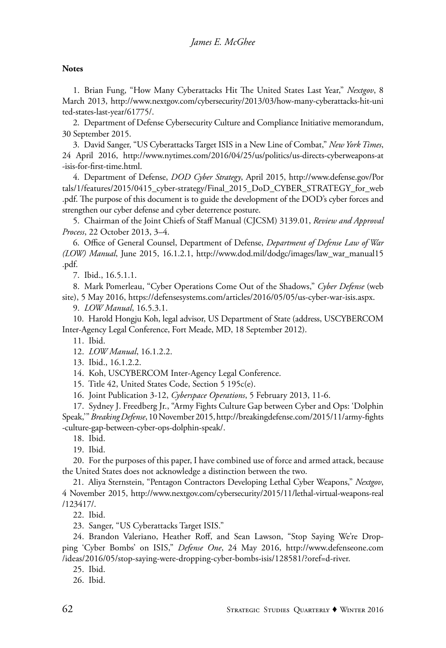#### **Notes**

1. Brian Fung, "How Many Cyberattacks Hit The United States Last Year," *Nextgov*, 8 March 2013, http://www.nextgov.com/cybersecurity/2013/03/how-many-cyberattacks-hit-uni ted-states-last-year/61775/.

2. Department of Defense Cybersecurity Culture and Compliance Initiative memorandum, 30 September 2015.

3. David Sanger, "US Cyberattacks Target ISIS in a New Line of Combat," *New York Times*, 24 April 2016, http://www.nytimes.com/2016/04/25/us/politics/us-directs-cyberweapons-at -isis-for-first-time.html.

4. Department of Defense, *DOD Cyber Strategy*, April 2015, http://www.defense.gov/Por tals/1/features/2015/0415\_cyber-strategy/Final\_2015\_DoD\_CYBER\_STRATEGY\_for\_web .pdf. The purpose of this document is to guide the development of the DOD's cyber forces and strengthen our cyber defense and cyber deterrence posture.

5. Chairman of the Joint Chiefs of Staff Manual (CJCSM) 3139.01, *Review and Approval Process*, 22 October 2013, 3–4.

6. Office of General Counsel, Department of Defense, *Department of Defense Law of War (LOW) Manual*, June 2015, 16.1.2.1, http://www.dod.mil/dodgc/images/law\_war\_manual15 .pdf.

7. Ibid., 16.5.1.1.

8. Mark Pomerleau, "Cyber Operations Come Out of the Shadows," *Cyber Defense* (web site), 5 May 2016, https://defensesystems.com/articles/2016/05/05/us-cyber-war-isis.aspx.

9. *LOW Manual*, 16.5.3.1.

10. Harold Hongju Koh, legal advisor, US Department of State (address, USCYBERCOM Inter-Agency Legal Conference, Fort Meade, MD, 18 September 2012).

11. Ibid.

12. *LOW Manual*, 16.1.2.2.

13. Ibid., 16.1.2.2.

14. Koh, USCYBERCOM Inter-Agency Legal Conference.

15. Title 42, United States Code, Section 5 195c(e).

16. Joint Publication 3-12, *Cyberspace Operations*, 5 February 2013, 11-6.

17. Sydney J. Freedberg Jr., "Army Fights Culture Gap between Cyber and Ops: 'Dolphin Speak,'" *Breaking Defense*, 10 November 2015, http://breakingdefense.com/2015/11/army-fights -culture-gap-between-cyber-ops-dolphin-speak/.

18. Ibid.

19. Ibid.

20. For the purposes of this paper, I have combined use of force and armed attack, because the United States does not acknowledge a distinction between the two.

21. Aliya Sternstein, "Pentagon Contractors Developing Lethal Cyber Weapons," *Nextgov*, 4 November 2015, http://www.nextgov.com/cybersecurity/2015/11/lethal-virtual-weapons-real /123417/.

22. Ibid.

23. Sanger, "US Cyberattacks Target ISIS."

24. Brandon Valeriano, Heather Roff, and Sean Lawson, "Stop Saying We're Dropping 'Cyber Bombs' on ISIS," *Defense One*, 24 May 2016, http://www.defenseone.com /ideas/2016/05/stop-saying-were-dropping-cyber-bombs-isis/128581/?oref=d-river.

25. Ibid.

26. Ibid.